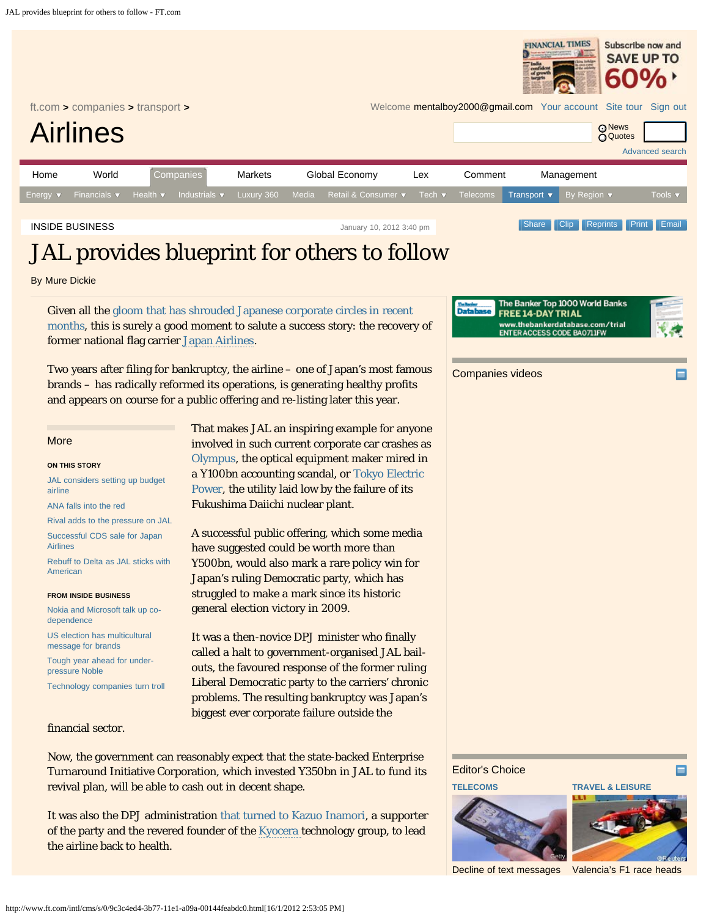<span id="page-0-0"></span>

Now, the government can reasonably expect that the state-backed Enterprise Turnaround Initiative Corporation, which invested Y350bn in JAL to fund its revival plan, will be able to cash out in decent shape.

It was also the DPJ administration [that turned to Kazuo Inamori](http://www.ft.com/cms/s/0/6d534bfa-3860-11e1-9f07-00144feabdc0.html), a supporter of the party and the revered founder of the [Kyocera](http://markets.ft.com/tearsheets/performance.asp?s=jp:6971) technology group, to lead the airline back to health.

Editor's Choice





**[TRAVEL & LEISURE](http://www.ft.com/intl/companies/travel-leisure)**

[Decline of text messages](http://www.ft.com/cms/s/0/3d976108-3f77-11e1-ad6a-00144feab49a.html) [Valencia's F1 race heads](http://www.ft.com/intl/cms/s/0/e6849a12-3f93-11e1-ad6a-00144feab49a.html)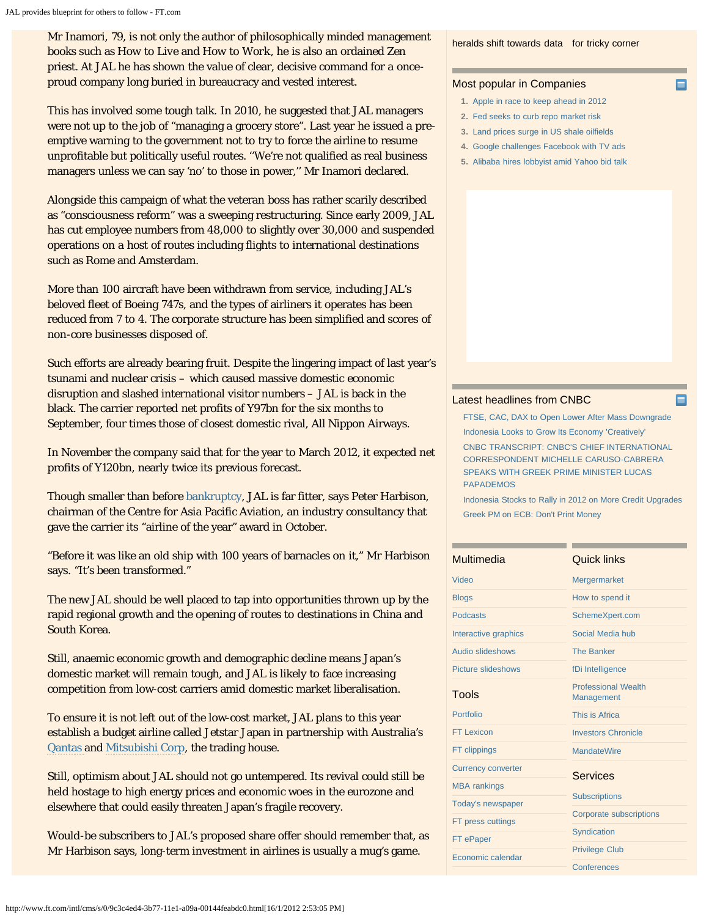Mr Inamori, 79, is not only the author of philosophically minded management books such as *How to Live* and *How to Work*, he is also an ordained Zen priest. At JAL he has shown the value of clear, decisive command for a onceproud company long buried in bureaucracy and vested interest.

This has involved some tough talk. In 2010, he suggested that JAL managers were not up to the job of "managing a grocery store". Last year he issued a preemptive warning to the government not to try to force the airline to resume unprofitable but politically useful routes. ''We're not qualified as real business managers unless we can say 'no' to those in power,'' Mr Inamori declared.

Alongside this campaign of what the veteran boss has rather scarily described as "consciousness reform" was a sweeping restructuring. Since early 2009, JAL has cut employee numbers from 48,000 to slightly over 30,000 and suspended operations on a host of routes including flights to international destinations such as Rome and Amsterdam.

More than 100 aircraft have been withdrawn from service, including JAL's beloved fleet of Boeing 747s, and the types of airliners it operates has been reduced from 7 to 4. The corporate structure has been simplified and scores of non-core businesses disposed of.

Such efforts are already bearing fruit. Despite the lingering impact of last year's tsunami and nuclear crisis – which caused massive domestic economic disruption and slashed international visitor numbers – JAL is back in the black. The carrier reported net profits of Y97bn for the six months to September, four times those of closest domestic rival, All Nippon Airways.

In November the company said that for the year to March 2012, it expected net profits of Y120bn, nearly twice its previous forecast.

Though smaller than before [bankruptcy,](http://ftalphaville.ft.com/blog/2010/01/19/128946/jals-kamikaze-bankruptcy/) JAL is far fitter, says Peter Harbison, chairman of the Centre for Asia Pacific Aviation, an industry consultancy that gave the carrier its "airline of the year" award in October.

"Before it was like an old ship with 100 years of barnacles on it," Mr Harbison says. "It's been transformed."

The new JAL should be well placed to tap into opportunities thrown up by the rapid regional growth and the opening of routes to destinations in China and South Korea.

Still, anaemic economic growth and demographic decline means Japan's domestic market will remain tough, and JAL is likely to face increasing competition from low-cost carriers amid domestic market liberalisation.

To ensure it is not left out of the low-cost market, JAL plans to this year establish a budget airline called Jetstar Japan in partnership with Australia's [Qantas a](http://markets.ft.com/tearsheets/performance.asp?s=au:QAN)nd [Mitsubishi Corp](http://markets.ft.com/tearsheets/performance.asp?s=jp:8058), the trading house.

Still, optimism about JAL should not go untempered. Its revival could still be held hostage to high energy prices and economic woes in the eurozone and elsewhere that could easily threaten Japan's fragile recovery.

Would-be subscribers to JAL's proposed share offer should remember that, as Mr Harbison says, long-term investment in airlines is usually a mug's game.

[heralds shift towards data](http://www.ft.com/cms/s/0/3d976108-3f77-11e1-ad6a-00144feab49a.html) [for tricky corner](http://www.ft.com/intl/cms/s/0/e6849a12-3f93-11e1-ad6a-00144feab49a.html)

Е

## Most popular in Companies

- **1.** [Apple in race to keep ahead in 2012](http://www.ft.com/cms/s/6a7cac22-31db-11e1-9be2-00144feabdc0.html)
- **2.** [Fed seeks to curb repo market risk](http://www.ft.com/cms/s/414571ee-2679-11e1-91cd-00144feabdc0.html)
- **3.** [Land prices surge in US shale oilfields](http://www.ft.com/cms/s/b756b9b6-2835-11e1-91c7-00144feabdc0.html)
- **4.** [Google challenges Facebook with TV ads](http://www.ft.com/cms/s/16bb94ae-3177-11e1-aeec-00144feabdc0.html)
- **5.** [Alibaba hires lobbyist amid Yahoo bid talk](http://www.ft.com/cms/s/c2b6d1dc-3213-11e1-9be2-00144feabdc0.html)

## [Latest headlines from CNBC](http://www.cnbc.com/)

[FTSE, CAC, DAX to Open Lower After Mass Downgrade](http://www.cnbc.com/id/46009936?__source=ft&par=ft) [Indonesia Looks to Grow Its Economy 'Creatively'](http://www.cnbc.com/id/46009278?__source=ft&par=ft)

[CNBC TRANSCRIPT: CNBC'S CHIEF INTERNATIONAL](http://www.cnbc.com/id/46009374?__source=ft&par=ft) [CORRESPONDENT MICHELLE CARUSO-CABRERA](http://www.cnbc.com/id/46009374?__source=ft&par=ft) [SPEAKS WITH GREEK PRIME MINISTER LUCAS](http://www.cnbc.com/id/46009374?__source=ft&par=ft) [PAPADEMOS](http://www.cnbc.com/id/46009374?__source=ft&par=ft)

[Indonesia Stocks to Rally in 2012 on More Credit Upgrades](http://www.cnbc.com/id/45981027?__source=ft&par=ft) [Greek PM on ECB: Don't Print Money](http://www.cnbc.com/id/46004803?__source=ft&par=ft)

| Multimedia                | <b>Quick links</b>                       |
|---------------------------|------------------------------------------|
| Video                     | <b>Mergermarket</b>                      |
| <b>Blogs</b>              | How to spend it                          |
| <b>Podcasts</b>           | SchemeXpert.com                          |
| Interactive graphics      | Social Media hub                         |
| <b>Audio slideshows</b>   | <b>The Banker</b>                        |
| Picture slideshows        | fDi Intelligence                         |
| Tools                     | <b>Professional Wealth</b><br>Management |
| Portfolio                 | This is Africa                           |
| <b>FT Lexicon</b>         | <b>Investors Chronicle</b>               |
| <b>FT clippings</b>       | <b>MandateWire</b>                       |
| <b>Currency converter</b> | <b>Services</b>                          |
| <b>MBA</b> rankings       |                                          |
| <b>Today's newspaper</b>  | <b>Subscriptions</b>                     |
| FT press cuttings         | <b>Corporate subscriptions</b>           |
| FT ePaper                 | Syndication                              |
| Economic calendar         | <b>Privilege Club</b>                    |
|                           | Conferences                              |